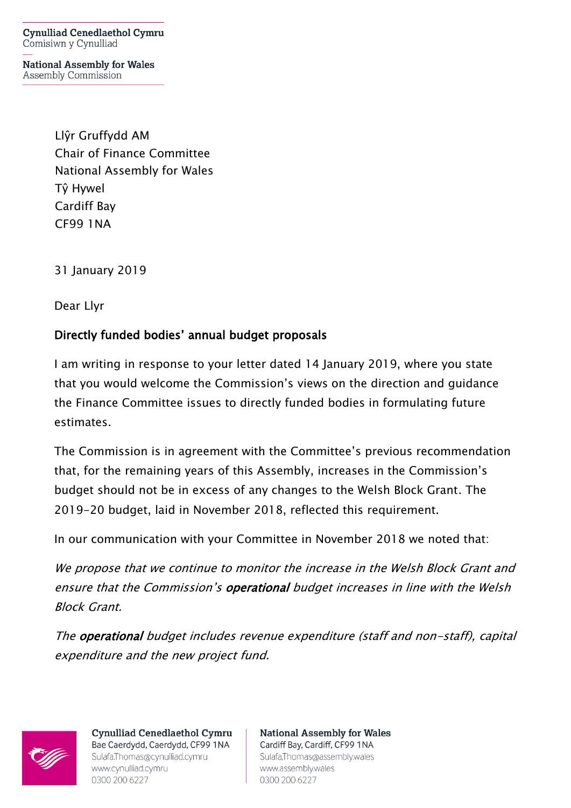**Cynulliad Cenedlaethol Cymru** Comisiwn y Cynulliad

**National Assembly for Wales** Assembly Commission

> Llŷr Gruffydd AM Chair of Finance Committee National Assembly for Wales Tŷ Hywel Cardiff Bay CF99 1NA

31 January 2019

Dear Llyr

## Directly funded bodies' annual budget proposals

I am writing in response to your letter dated 14 January 2019, where you state that you would welcome the Commission's views on the direction and guidance the Finance Committee issues to directly funded bodies in formulating future estimates.

The Commission is in agreement with the Committee's previous recommendation that, for the remaining years of this Assembly, increases in the Commission's budget should not be in excess of any changes to the Welsh Block Grant. The 2019-20 budget, laid in November 2018, reflected this requirement.

In our communication with your Committee in November 2018 we noted that:

We propose that we continue to monitor the increase in the Welsh Block Grant and ensure that the Commission's operational budget increases in line with the Welsh Block Grant.

The operational budget includes revenue expenditure (staff and non-staff), capital expenditure and the new project fund.



**Cynulliad Cenedlaethol Cymru** Bae Caerdydd, Caerdydd, CF99 1NA Sulafa.Thomas@cynulliad.cymru www.cynulliad.cymru 0300 200 6227

**National Assembly for Wales** Cardiff Bay, Cardiff, CF99 1NA Sulafa, Thomas@assembly.wales www.assembly.wales 0300 200 6227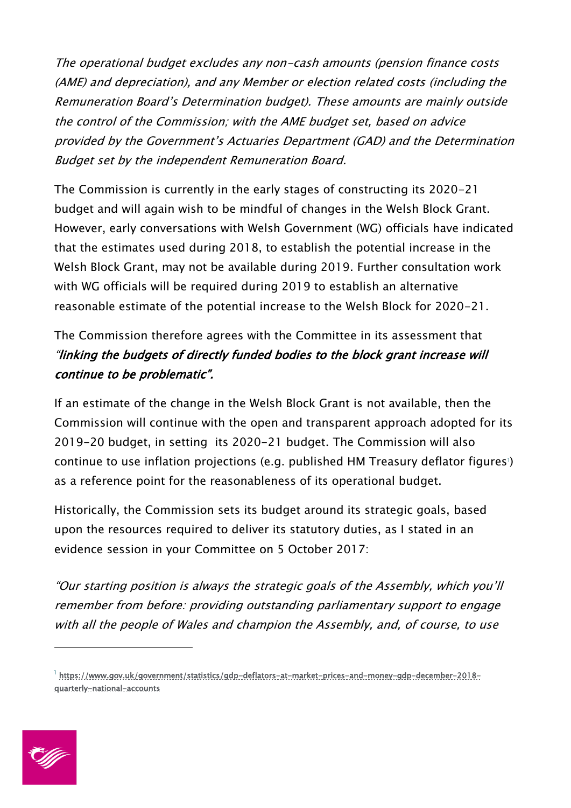The operational budget excludes any non-cash amounts (pension finance costs (AME) and depreciation), and any Member or election related costs (including the Remuneration Board's Determination budget). These amounts are mainly outside the control of the Commission; with the AME budget set, based on advice provided by the Government's Actuaries Department (GAD) and the Determination Budget set by the independent Remuneration Board.

The Commission is currently in the early stages of constructing its 2020-21 budget and will again wish to be mindful of changes in the Welsh Block Grant. However, early conversations with Welsh Government (WG) officials have indicated that the estimates used during 2018, to establish the potential increase in the Welsh Block Grant, may not be available during 2019. Further consultation work with WG officials will be required during 2019 to establish an alternative reasonable estimate of the potential increase to the Welsh Block for 2020-21.

## The Commission therefore agrees with the Committee in its assessment that "linking the budgets of directly funded bodies to the block grant increase will continue to be problematic".

If an estimate of the change in the Welsh Block Grant is not available, then the Commission will continue with the open and transparent approach adopted for its 2019-20 budget, in setting its 2020-21 budget. The Commission will also continue to use inflation projections (e.g. published HM Treasury deflator figures<sup>1</sup>) as a reference point for the reasonableness of its operational budget.

Historically, the Commission sets its budget around its strategic goals, based upon the resources required to deliver its statutory duties, as I stated in an evidence session in your Committee on 5 October 2017:

"Our starting position is always the strategic goals of the Assembly, which you'll remember from before: providing outstanding parliamentary support to engage with all the people of Wales and champion the Assembly, and, of course, to use

<sup>1</sup> https://www.gov.uk/government/statistics/gdp-deflators-at-market-prices-and-money-gdp-december-2018 quarterly-national-accounts



-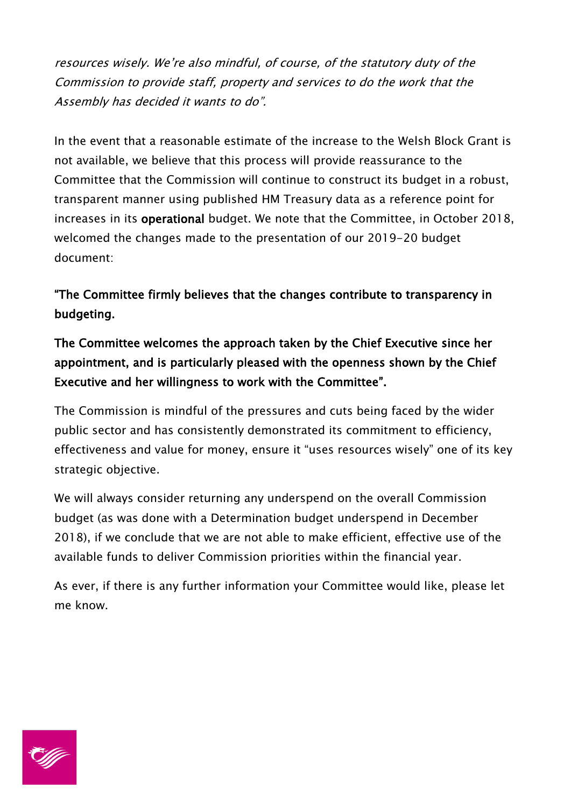resources wisely. We're also mindful, of course, of the statutory duty of the Commission to provide staff, property and services to do the work that the Assembly has decided it wants to do".

In the event that a reasonable estimate of the increase to the Welsh Block Grant is not available, we believe that this process will provide reassurance to the Committee that the Commission will continue to construct its budget in a robust, transparent manner using published HM Treasury data as a reference point for increases in its operational budget. We note that the Committee, in October 2018, welcomed the changes made to the presentation of our 2019-20 budget document:

"The Committee firmly believes that the changes contribute to transparency in budgeting.

## The Committee welcomes the approach taken by the Chief Executive since her appointment, and is particularly pleased with the openness shown by the Chief Executive and her willingness to work with the Committee".

The Commission is mindful of the pressures and cuts being faced by the wider public sector and has consistently demonstrated its commitment to efficiency, effectiveness and value for money, ensure it "uses resources wisely" one of its key strategic objective.

We will always consider returning any underspend on the overall Commission budget (as was done with a Determination budget underspend in December 2018), if we conclude that we are not able to make efficient, effective use of the available funds to deliver Commission priorities within the financial year.

As ever, if there is any further information your Committee would like, please let me know.